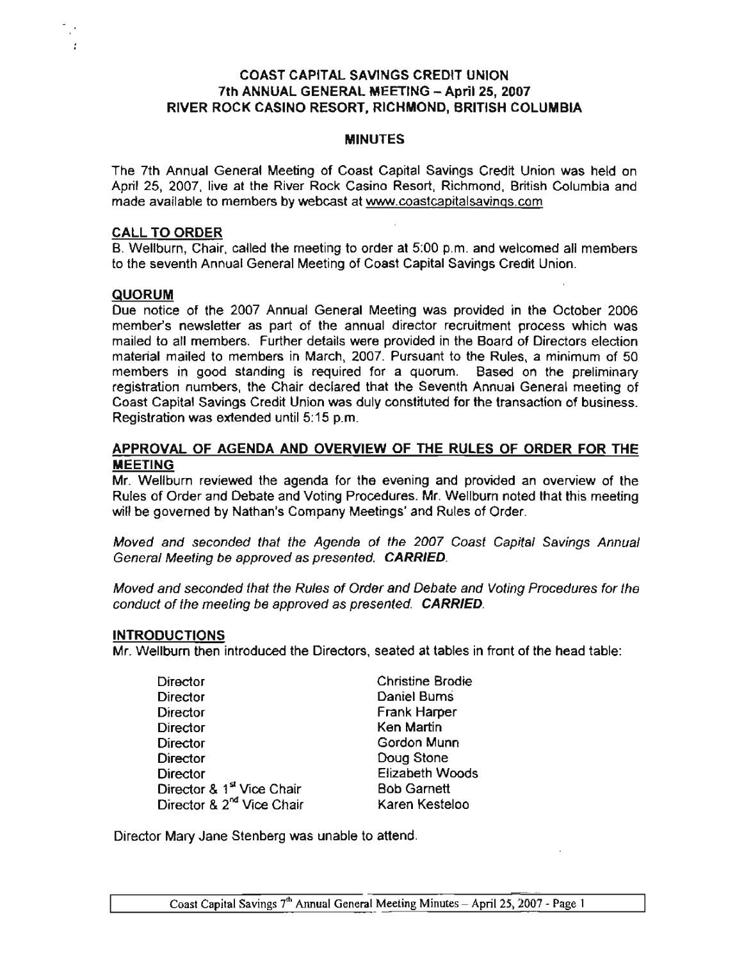# COAST CAPITAL SAVINGS CREDIT UNION 7th ANNUAL GENERAL MEETING - April 25, 2007 RIVER ROCK CASINO RESORT, RICHMOND, BRITISH COLUMBIA

#### **MINUTES**

The 7th Annual General Meeting of Coast Capital Savings Credit Union was held on April 25, 2007. live at the River Rock Casino Resort, Richmond. British Columbia and made available to members by webcast at www.coastcapitalsavings.com

#### CALL TO ORDER

B. Wellburn, Chair, called the meeting to order at 5:00 p.m. and welcomed all members to the seventh Annual General Meeting of Coast Capital Savings Credit Union.

### **QUORUM**

Due notice of the 2007 Annual General Meeting was provided in the October 2006 member's newsletter as part of the annual director recruitment process which was mailed to all members. Further details were provided in the Board of Directors election material mailed to members in March, 2007. Pursuant to the Rules, a minimum of 50 members in good standing is required for a quorum. Based on the preliminary registration numbers, the Chair declared that the Seventh Annual General meeting of Coast Capital Savings Credit Union was duly constituted for the transaction of business. Registration was extended until 5: 15 p.m.

### APPROVAL OF AGENDA AND OVERVIEW OF THE RULES OF ORDER FOR THE **MEETING**

Mr. Wellburn reviewed the agenda for the evening and provided an overview of the Rules of Order and Debate and Voting Procedures. Mr. Wellburn noted that this meeting will be governed by Nathan's Company Meetings' and Rules of Order.

Moved and seconded that the Agenda of the 2007 Coast Capital Savings Annual General Meeting be approved as presented. CARRIED.

Moved and seconded that the Rules of Order and Debate and Voting Procedures for the conduct of the meeting be approved as presented. CARRIED.

### INTRODUCTIONS

Mr. Wellburn then introduced the Directors, seated at tables in front of the head table:

| Director                              | <b>Christine Brodie</b> |
|---------------------------------------|-------------------------|
| Director                              | Daniel Burns            |
| Director                              | Frank Harper            |
| Director                              | <b>Ken Martin</b>       |
| <b>Director</b>                       | Gordon Munn             |
| Director                              | Doug Stone              |
| <b>Director</b>                       | <b>Elizabeth Woods</b>  |
| Director & 1 <sup>st</sup> Vice Chair | <b>Bob Garnett</b>      |
| Director & 2 <sup>nd</sup> Vice Chair | Karen Kesteloo          |

Director Mary Jane Stenberg was unable to attend.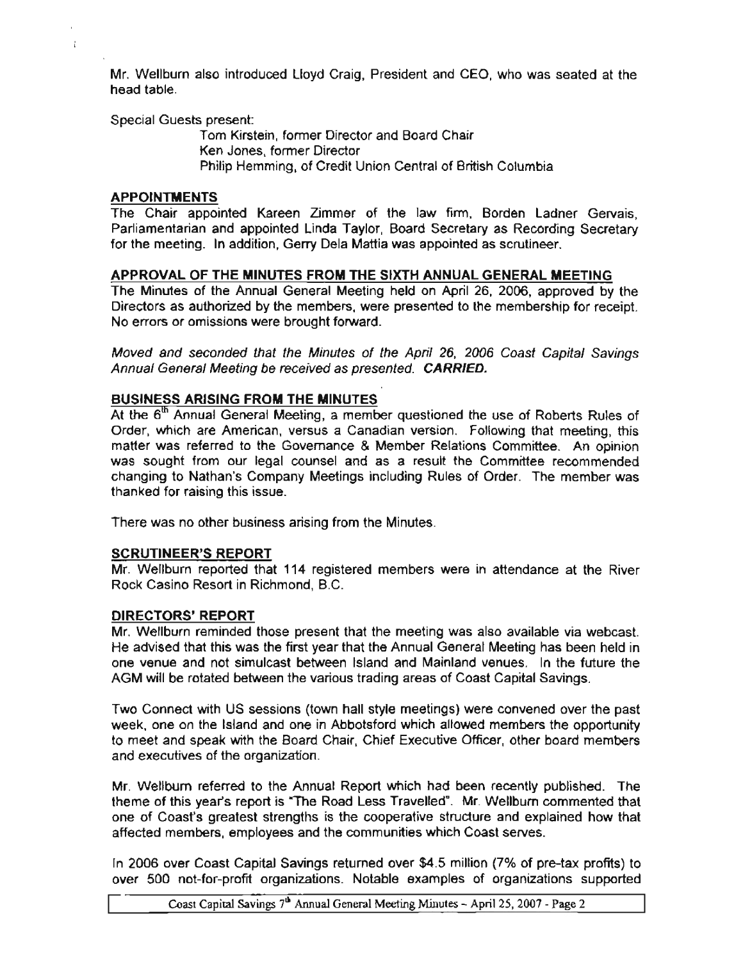Mr. Wellburn also introduced Lloyd Craig, President and CEO, who was seated at the head table.

Special Guests present:

Tom Kirstein, former Director and Board Chair Ken Jones, former Director Philip Hemming, of Credit Union central of British Columbia

# APPOINTMENTS

 $\mathbf{f}$ 

The Chair appointed Kareen Zimmer of the law firm, Borden Ladner Gervais, Parliamentarian and appointed Linda Taylor, Board Secretary as Recording Secretary for the meeting. In addition, Gerry Dela Mattia was appointed as scrutineer.

# APPROVAL OF THE MINUTES FROM THE SIXTH ANNUAL GENERAL MEETING

The Minutes of the Annual General Meeting held on April 26, 2006, approved by the Directors as authorized by the members, were presented to the membership for receipt. No errors or omissions were brought forward.

Moved and seconded that the Minutes of the April 26, 2006 Coast Capital Savings Annual General Meeting be received as presented. CARRIED.

# BUSINESS ARISING FROM THE MINUTES

At the 6<sup>th</sup> Annual General Meeting, a member questioned the use of Roberts Rules of Order, which are American, versus a Canadian version. Following that meeting, this matter was referred to the Governance & Member Relations Committee. An opinion was sought from our legal counsel and as a result the Committee recommended changing to Nathan's Company Meetings including Rules of Order. The member was thanked for raising this issue.

There was no other business arising from the Minutes.

### SCRUTINEER'S REPORT

Mr. Wellburn reported that 114 registered members were in attendance at the River Rock Casino Resort in Richmond, B.C.

### DIRECTORS' REPORT

Mr. Wellburn reminded those present that the meeting was also available via webcast. He advised that this was the first year that the Annual General Meeting has been held in one venue and not simulcast between Island and Mainland venues. In the future the AGM will be rotated between the various trading areas of Coast Capital Savings.

Two Connect with US sessions (town hall style meetings) were convened over the past week, one on the Island and one in Abbotsford which allowed members the opportunity to meet and speak with the Board Chair, Chief Executive Officer, other board members and executives of the organization.

Mr. Wellburn referred to the Annual Report which had been recently published. The theme of this year's report is "The Road Less Travelled". Mr. Wellbum commented that one of Coast's greatest strengths is the cooperative structure and explained how that affected members, employees and the communities which Coast serves.

In 2006 over Coast Capital Savings returned over \$4.5 million (7% of pre-tax profits) to over 500 not-far-profit organizations. Notable examples of organizations supported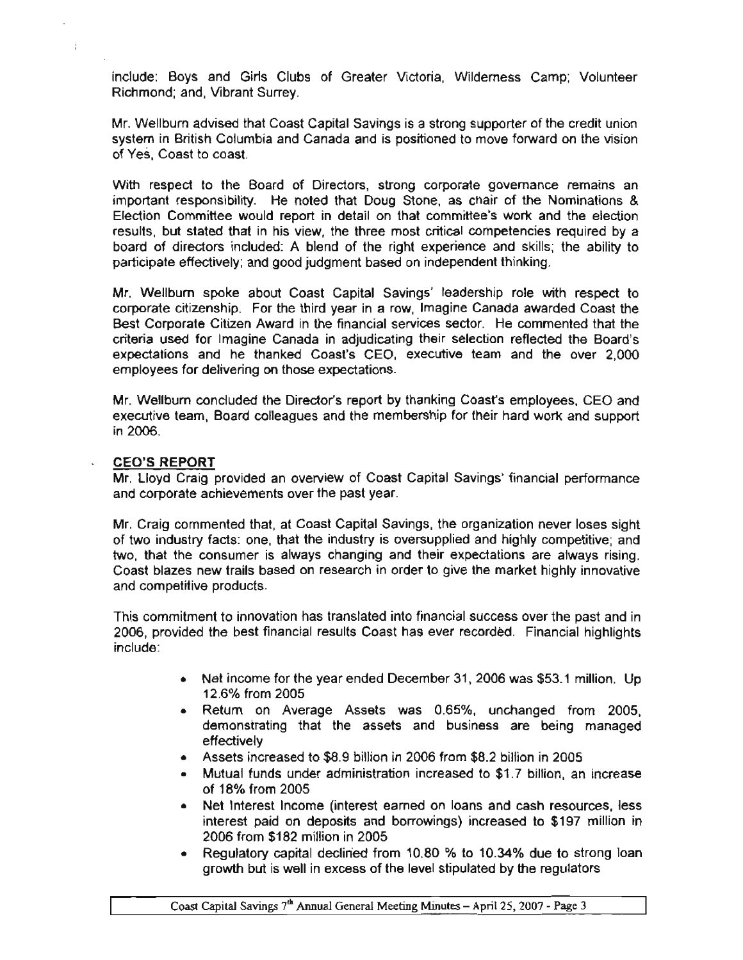include: Boys and Girls Clubs of Greater Victoria, Wilderness Camp; Volunteer Richmond; and, Vibrant Surrey.

Mr. Wellburn advised that Coast Capital Savings is a strong supporter of the credit union system in British Columbia and Canada and is positioned to move forward on the vision of Yes, Coast to coast.

With respect to the Board of Directors, strong corporate governance remains an important responsibility. He noted that Doug Stone, as chair of the Nominations & Election Committee would report in detail on that committee's work and the election results, but stated that in his view, the three most critical competencies required by a board of diredors induded: A blend of the right experience and skills; the ability to participate effectively; and good judgment based on independent thinking.

Mr. Wellburn spoke about Coast Capital Savings' leadership role with respect to corporate citizenship. For the third year in a row, Imagine Canada awarded Coast the Best Corporate Citizen Award in the financial services sector. He commented that the criteria used for Imagine Canada in adjudicating their selection reflected the Board's expectations and he thanked Coast's CEO, executive team and the over 2,000 employees for delivering on those expectations.

Mr. Wellburn concluded the Director's report by thanking Coast's employees, CEO and executive team, Board colleagues and the membership for their hard work and support in 2006.

#### CEO'S REPORT

ł

Mr. Lloyd Craig provided an overview of Coast Capital Savings' financial performance and corporate achievements over the past year.

Mr. Craig commented that, at Coast Capital Savings, the organization never loses sight of two industry facts: one, that the industry is oversupplied and highly competitive; and two, that the consumer is always changing and their expectations are always rising. Coast blazes new trails based on research in order to give the market highly innovative and competitive products.

This commitment to innovation has translated into financial success over the past and in 2006, provided the best financial results Coast has ever recorded. Financial highlights include:

- Net income for the year ended December 31, 2006 was \$53.1 million. Up 12.6% from 2005
- Return on Average Assets was 0.65%, unchanged from 2005, demonstrating that the assets and business are being managed effectively
- Assets increased to \$8.9 billion in 2006 from \$8.2 billion in 2005
- Mutual funds under administration increased to \$1.7 billion, an increase of 18% from 2005
- Net Interest Income (interest earned on loans and cash resources, less interest paid on deposits and borrowings) increased to \$197 million in 2006 from \$182 million in 2005
- Regulatory capital declined from 10.80 % to 10.34% due to strong loan growth but is well in excess of the level stipulated by the regulators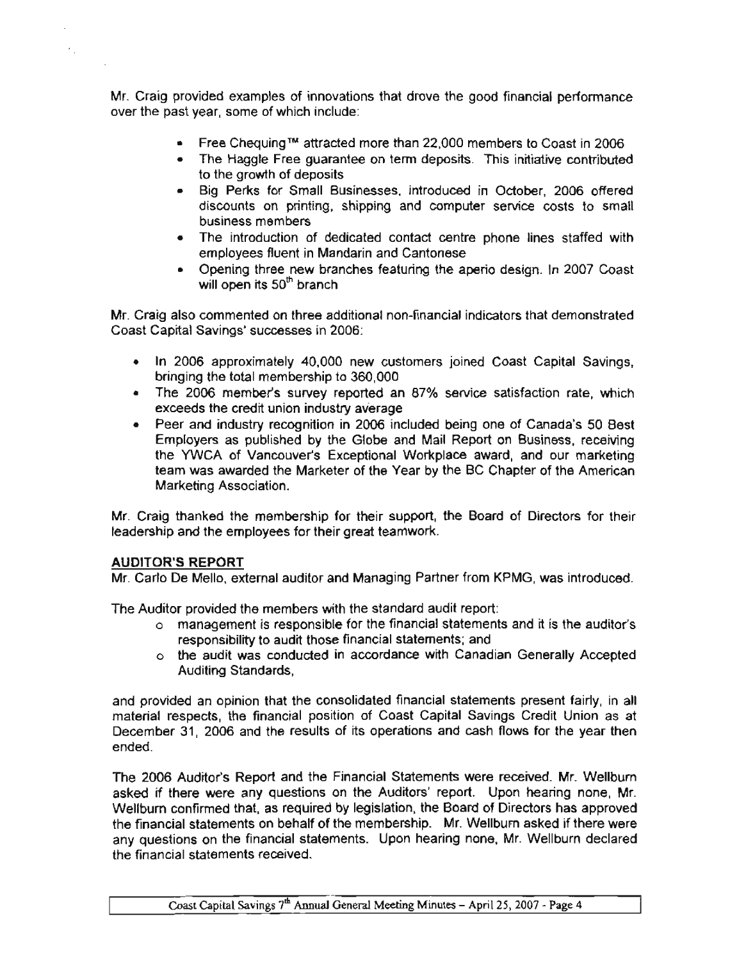Mr. Craig provided examples of innovations that drove the good financial performance over the past year, some of which include:

- Free Chequing™ attracted more than 22,000 members to Coast in 2006
- The Haggle Free guarantee on term deposits. This initiative contributed to the growth of deposits
- Big Perks for Small Businesses, introduced in October, 2006 offered discounts on printing, shipping and computer service costs to small business members
- The introduction of dedicated contact centre phone lines staffed with employees fluent in Mandarin and Cantonese
- Opening three new branches featuring the aperio design. In 2007 Coast will open its  $50<sup>th</sup>$  branch

Mr. Craig also commented on three additional non-financial indicators that demonstrated Coast Capital Savings' successes in 2006:

- In 2006 approximately 40,000 new customers joined Coast Capital Savings, bringing the total membership to 360,000
- The 2006 member's survey reported an 87% service satisfaction rate, which exceeds the credit union industry average
- Peer and industry recognition in 2006 included being one of Canada's 50 Best Employers as pubtished by the Globe and Mail Report on Business, receiving the YWCA of Vancouver's Exceptional Workplace award, and our marketing team was awarded the Marketer of the Year by the BC Chapter of the American Marketing Association.

Mr. Craig thanked the membership for their support, the Board of Directors for their leadership and the employees for their great teamwork.

### AUDITOR'S REPORT

Mr. Carlo De Mello, external auditor and Managing Partner from KPMG, was introduced.

The Auditor provided the members with the standard audit report:

- o management is responsible for the financial statements and it is the auditor's responsibility to audit those financial statements; and
- o the audit was conducted in accordance with Canadian Generally Accepted Auditing Standards,

and provided an opinion that the consolidated financial statements present fairly, in all material respects, the financial position of Coast Capital Savings Credit Union as at December 31, 2006 and the results of its operations and cash flows for the year then ended.

The 2006 Auditor's Report and the Financial Statements were received. Mr. Wellbum asked if there were any questions on the Auditors' report. Upon hearing none, Mr. Wellburn confirmed that, as required by legislation, the Board of Directors has approved the financial statements on behalf of the membership. Mr. Wellbum asked if there were any questions on the financial statements. Upon hearing none, Mr. Wellburn declared the financial statements received.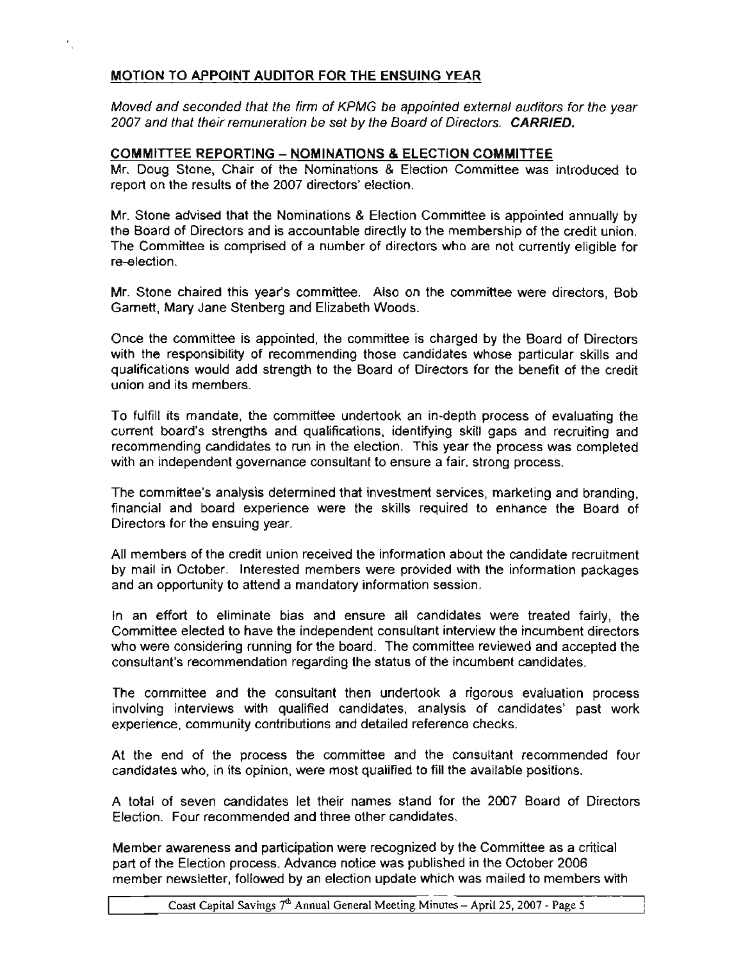# MOTION TO APPOINT AUDITOR FOR THE ENSUING YEAR

Moved and seconded that the firm of KPMG be appointed external auditors for the year 2007 and that their remuneration be set by the Board of Directors. CARRIED.

# COMMITTEE REPORTING - NOMINATIONS & ELECTION COMMITTEE

Mr. Doug Slone, Chair of the Nominations & Election Committee was introduced to report on the results of the 2007 directors' election.

Mr. Stone advised that the Nominations & Election Committee is appointed annually by the Board of Directors and is accountable directly to the membership of the credit union. The Committee is comprised of a number of directors who are not currently eligible for re-election.

Mr. Stone chaired this year's committee. Also on the committee were directors, Bob Gamett, Mary Jane Stenberg and Elizabeth Woods.

Once the committee is appointed, the committee is charged by the Board of Directors with the responsibility of recommending those candidates whose particular skills and qualifications would add strength to the Board of Directors for the benefit of the credit union and its members.

To fulfill rts mandate, the committee undertook an in-depth process of evaluating the current board's strengths and qualifications, identifying skill gaps and recruiting and recommending candidates to run in the election. This year the process was completed with an independent governance consultant to ensure a fair, strong process.

The commrttee's analysis determined that investment services, marketing and branding, financial and board experience were the skills required to enhance the Board of Directors for the ensuing year.

All members of the credit union received the information about the candidate recruitment by mail in October. Interested members were provided with the information packages and an opportunity to attend a mandatory information session.

In an effort to eliminate bias and ensure all candidates were treated fairly, the Committee elected to have the independent consultant interview the incumbent directors who were considering running for the board. The committee reviewed and accepted the consultant's recommendation regarding the status of the incumbent candidates.

The committee and the consultant then undertook a rigorous evaluation process involving interviews with qualified candidates, analysis of candidates' past work experience, community contributions and detailed reference checks.

At the end of the process the committee and the consultant recommended four candidates who, in its opinion, were most qualified to fill the available positions.

A total of seven candidates let their names stand for the 2007 Board of Directors Election. Four recommended and three other candidates.

Member awareness and participation were recognized by the Committee as a critical part of the Election process. Advance notice was published in the October 2006 member newsletter, followed by an election update which was mailed to members with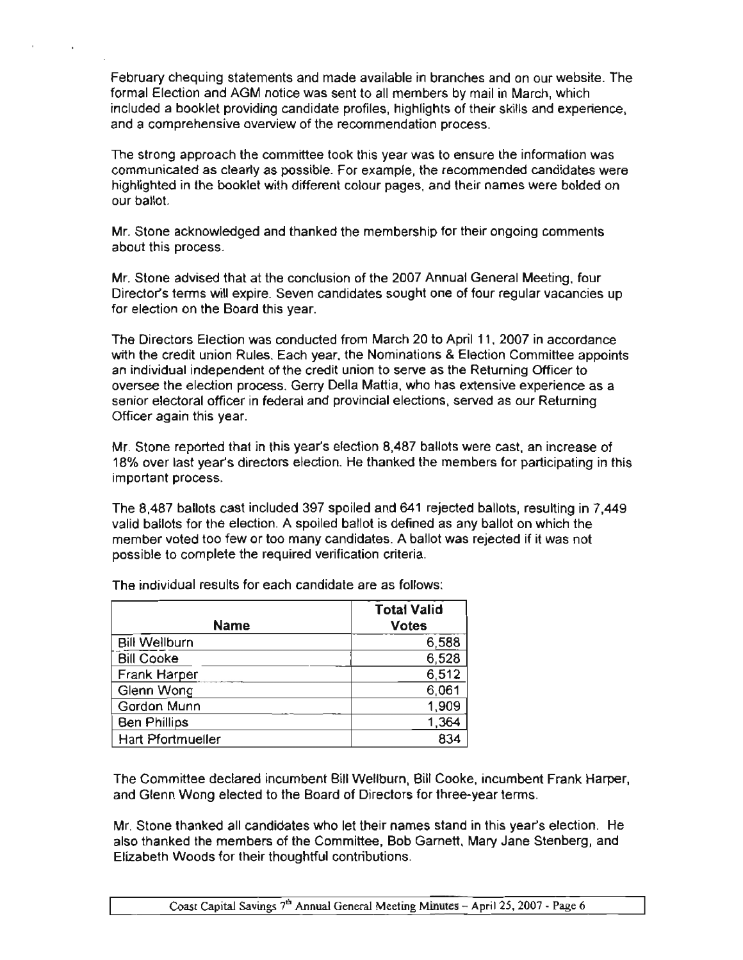February chequing statements and made available in branches and on our website. The formal Election and AGM notice was sent to all members by mail in March, which included a booklet providing candidate profiles, highlights of their skills and experience, and a comprehensive overview of the recommendation process.

The strong approach the committee took this year was to ensure the information was communicated as clear1y as possible. For example, the recommended candidates were highlighted in the booklet with different colour pages, and their names were balded on our ballot.

Mr. Stone acknowledged and thanked the membership for their ongoing comments about this process.

Mr. Stone advised that at the conclusion of the 2007 Annual General Meeting, four Director's terms will expire. Seven candidates sought one of four regular vacancies up for election on the Board this year.

The Directors Election was conducted from March 20 to April 11 , 2007 in accordance with the credit union Rules. Each year, the Nominations & Election Committee appoints an individual independent of the credit union to serve as the Returning Officer to oversee the election process. Gerry Della Mattia. who has extensive experience as a senior electoral officer in federal and provincial elections, served as our Returning Officer again this year.

Mr. Stone reported that in this year's election 8,487 ballots were cast, an increase of 18% over last year's directors election. He thanked the members for participating in this important process.

The 8,487 ballots cast included 397 spoiled and 641 rejected ballots, resulting in 7,449 valid ballots for the election. A spoiled ballot is defined as any ballot on which the member voted too few or too many candidates. A ballot was rejected if it was not possible to complete the required verification criteria.

| <b>Name</b>              | <b>Total Valid</b><br><b>Votes</b> |
|--------------------------|------------------------------------|
| <b>Bill Wellburn</b>     | 6,588                              |
| <b>Bill Cooke</b>        | 6,528                              |
| Frank Harper             | 6,512                              |
| Glenn Wong               | 6,061                              |
| Gordon Munn              | 1,909                              |
| <b>Ben Phillips</b>      | 1,364                              |
| <b>Hart Pfortmueller</b> | 834                                |

The individual results for each candidate are as follows:

The Committee declared incumbent Bill Wellburn, Bill Cooke, incumbent Frank Harper, and Glenn Wong elected to the Board of Directors for three-year terms.

Mr. Stone thanked all candidates who let their names stand in this year's election. He also thanked the members of the Committee, Bob Gamett. Mary Jane Stenberg, and Elizabeth Woods for their thoughtful contributions.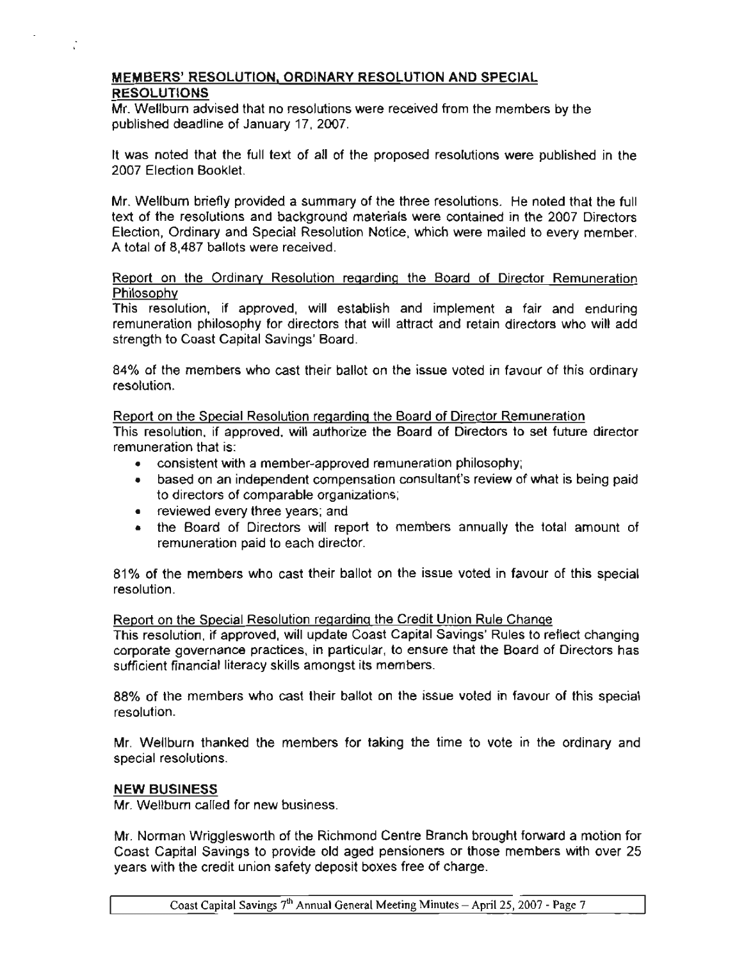# MEMBERS' RESOLUTION, ORDINARY RESOLUTION AND SPECIAL RESOLUTIONS

Mr. Wellburn advised that no resolutions were received from the members by the published deadline of January 17, 2007.

It was noted that the full text of all of the proposed resolutions were published in the 2007 Election Booklet.

Mr. Wellburn briefly provided a summary of the three resolutions. He noted that the full text of the resolutions and background materials were contained in the 2007 Directors Election, Ordinary and Special Resolution Notice, which were mailed to every member. A total of 8,487 ballots were received.

# Report on the Ordinary Resolution regarding the Board of Director Remuneration Philosophy

This resolution, if approved, will establish and implement a fair and enduring remuneration philosophy for directors that will attract and retain directors who will add strength to Coast Capital Savings' Board.

84% of the members who cast their ballot on the issue voted in favour of this ordinary resolution.

Report on the Special Resolution regarding the Board of Director Remuneration This resolution, if approved, will authorize the Board of Directors to set future director

remuneration that is:

- consistent with a member-approved remuneration philosophy;
- based on an independent compensation consultant's review of what is being paid to directors of comparable organizations;
- reviewed every three years; and
- the Board of Directors will report to members annually the total amount of remuneration paid to each director.

81% of the members who cast their ballot on the issue voted in favour of this special resolution.

### Report on the Special Resolution regarding the Credit Union Rule Change

This resolution. if approved, will update Coast Capital Savings' Rules to reflect changing corporate governance practices, in particular, to ensure that the Board of Directors has sufficient financial literacy skills amongst its members.

88% of the members who cast their ballot on the issue voted in favour of this special resolution.

Mr. Wellburn thanked the members for taking the time to vote in the ordinary and special resolutions.

### NEW BUSINESS

 $\ddot{\cdot}$ 

Mr. Wellburn called for new business.

Mr. Norman Wrigglesworth of the Richmond Centre Branch brought forward a motion for Coast Capital Savings to provide old aged pensioners or those members with over 25 years with the credit union safety deposit boxes free of charge.